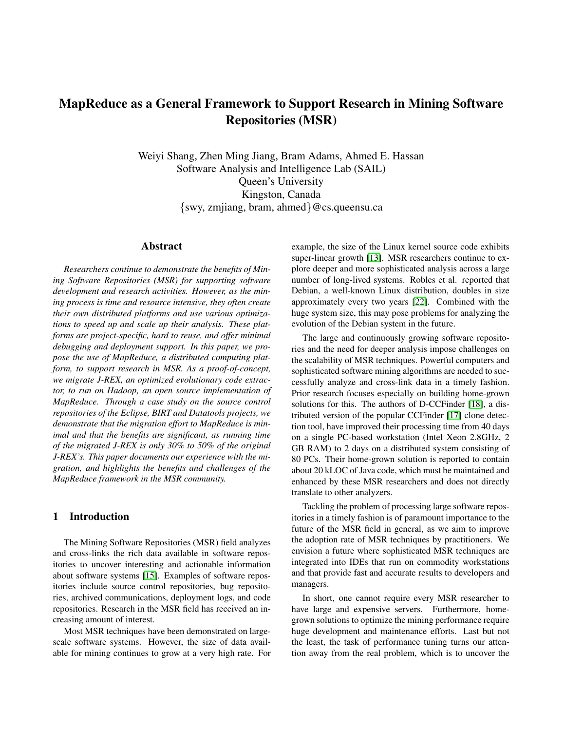# MapReduce as a General Framework to Support Research in Mining Software Repositories (MSR)

Weiyi Shang, Zhen Ming Jiang, Bram Adams, Ahmed E. Hassan Software Analysis and Intelligence Lab (SAIL) Queen's University Kingston, Canada {swy, zmjiang, bram, ahmed}@cs.queensu.ca

### Abstract

*Researchers continue to demonstrate the benefits of Mining Software Repositories (MSR) for supporting software development and research activities. However, as the mining process is time and resource intensive, they often create their own distributed platforms and use various optimizations to speed up and scale up their analysis. These platforms are project-specific, hard to reuse, and offer minimal debugging and deployment support. In this paper, we propose the use of MapReduce, a distributed computing platform, to support research in MSR. As a proof-of-concept, we migrate J-REX, an optimized evolutionary code extractor, to run on Hadoop, an open source implementation of MapReduce. Through a case study on the source control repositories of the Eclipse, BIRT and Datatools projects, we demonstrate that the migration effort to MapReduce is minimal and that the benefits are significant, as running time of the migrated J-REX is only 30% to 50% of the original J-REX's. This paper documents our experience with the migration, and highlights the benefits and challenges of the MapReduce framework in the MSR community.*

## 1 Introduction

The Mining Software Repositories (MSR) field analyzes and cross-links the rich data available in software repositories to uncover interesting and actionable information about software systems [\[15\]](#page-9-0). Examples of software repositories include source control repositories, bug repositories, archived communications, deployment logs, and code repositories. Research in the MSR field has received an increasing amount of interest.

Most MSR techniques have been demonstrated on largescale software systems. However, the size of data available for mining continues to grow at a very high rate. For example, the size of the Linux kernel source code exhibits super-linear growth [\[13\]](#page-9-1). MSR researchers continue to explore deeper and more sophisticated analysis across a large number of long-lived systems. Robles et al. reported that Debian, a well-known Linux distribution, doubles in size approximately every two years [\[22\]](#page-9-2). Combined with the huge system size, this may pose problems for analyzing the evolution of the Debian system in the future.

The large and continuously growing software repositories and the need for deeper analysis impose challenges on the scalability of MSR techniques. Powerful computers and sophisticated software mining algorithms are needed to successfully analyze and cross-link data in a timely fashion. Prior research focuses especially on building home-grown solutions for this. The authors of D-CCFinder [\[18\]](#page-9-3), a distributed version of the popular CCFinder [\[17\]](#page-9-4) clone detection tool, have improved their processing time from 40 days on a single PC-based workstation (Intel Xeon 2.8GHz, 2 GB RAM) to 2 days on a distributed system consisting of 80 PCs. Their home-grown solution is reported to contain about 20 kLOC of Java code, which must be maintained and enhanced by these MSR researchers and does not directly translate to other analyzers.

Tackling the problem of processing large software repositories in a timely fashion is of paramount importance to the future of the MSR field in general, as we aim to improve the adoption rate of MSR techniques by practitioners. We envision a future where sophisticated MSR techniques are integrated into IDEs that run on commodity workstations and that provide fast and accurate results to developers and managers.

In short, one cannot require every MSR researcher to have large and expensive servers. Furthermore, homegrown solutions to optimize the mining performance require huge development and maintenance efforts. Last but not the least, the task of performance tuning turns our attention away from the real problem, which is to uncover the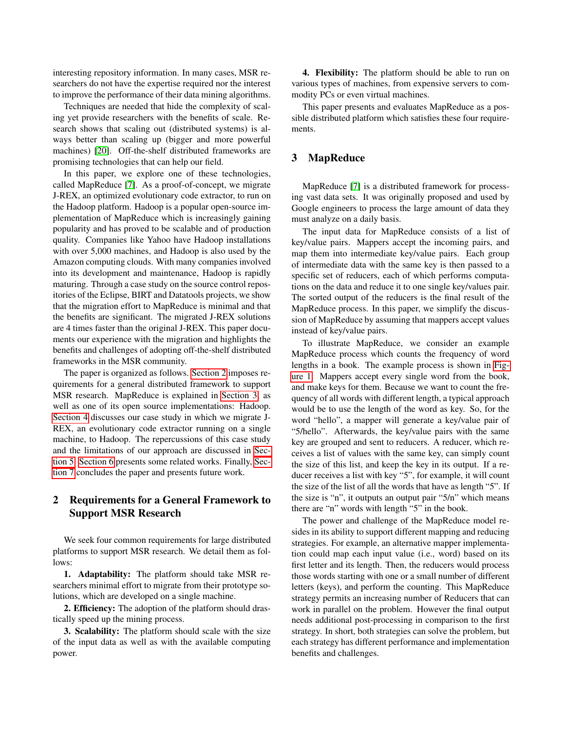interesting repository information. In many cases, MSR researchers do not have the expertise required nor the interest to improve the performance of their data mining algorithms.

Techniques are needed that hide the complexity of scaling yet provide researchers with the benefits of scale. Research shows that scaling out (distributed systems) is always better than scaling up (bigger and more powerful machines) [\[20\]](#page-9-5). Off-the-shelf distributed frameworks are promising technologies that can help our field.

In this paper, we explore one of these technologies, called MapReduce [\[7\]](#page-9-6). As a proof-of-concept, we migrate J-REX, an optimized evolutionary code extractor, to run on the Hadoop platform. Hadoop is a popular open-source implementation of MapReduce which is increasingly gaining popularity and has proved to be scalable and of production quality. Companies like Yahoo have Hadoop installations with over 5,000 machines, and Hadoop is also used by the Amazon computing clouds. With many companies involved into its development and maintenance, Hadoop is rapidly maturing. Through a case study on the source control repositories of the Eclipse, BIRT and Datatools projects, we show that the migration effort to MapReduce is minimal and that the benefits are significant. The migrated J-REX solutions are 4 times faster than the original J-REX. This paper documents our experience with the migration and highlights the benefits and challenges of adopting off-the-shelf distributed frameworks in the MSR community.

The paper is organized as follows. [Section 2](#page-1-0) imposes requirements for a general distributed framework to support MSR research. MapReduce is explained in [Section 3,](#page-1-1) as well as one of its open source implementations: Hadoop. [Section 4](#page-2-0) discusses our case study in which we migrate J-REX, an evolutionary code extractor running on a single machine, to Hadoop. The repercussions of this case study and the limitations of our approach are discussed in [Sec](#page-7-0)[tion 5.](#page-7-0) [Section 6](#page-8-0) presents some related works. Finally, [Sec](#page-9-7)[tion 7](#page-9-7) concludes the paper and presents future work.

# <span id="page-1-0"></span>2 Requirements for a General Framework to Support MSR Research

We seek four common requirements for large distributed platforms to support MSR research. We detail them as follows:

1. Adaptability: The platform should take MSR researchers minimal effort to migrate from their prototype solutions, which are developed on a single machine.

2. Efficiency: The adoption of the platform should drastically speed up the mining process.

3. Scalability: The platform should scale with the size of the input data as well as with the available computing power.

4. Flexibility: The platform should be able to run on various types of machines, from expensive servers to commodity PCs or even virtual machines.

This paper presents and evaluates MapReduce as a possible distributed platform which satisfies these four requirements.

# <span id="page-1-1"></span>3 MapReduce

MapReduce [\[7\]](#page-9-6) is a distributed framework for processing vast data sets. It was originally proposed and used by Google engineers to process the large amount of data they must analyze on a daily basis.

The input data for MapReduce consists of a list of key/value pairs. Mappers accept the incoming pairs, and map them into intermediate key/value pairs. Each group of intermediate data with the same key is then passed to a specific set of reducers, each of which performs computations on the data and reduce it to one single key/values pair. The sorted output of the reducers is the final result of the MapReduce process. In this paper, we simplify the discussion of MapReduce by assuming that mappers accept values instead of key/value pairs.

To illustrate MapReduce, we consider an example MapReduce process which counts the frequency of word lengths in a book. The example process is shown in [Fig](#page-2-1)[ure 1.](#page-2-1) Mappers accept every single word from the book, and make keys for them. Because we want to count the frequency of all words with different length, a typical approach would be to use the length of the word as key. So, for the word "hello", a mapper will generate a key/value pair of "5/hello". Afterwards, the key/value pairs with the same key are grouped and sent to reducers. A reducer, which receives a list of values with the same key, can simply count the size of this list, and keep the key in its output. If a reducer receives a list with key "5", for example, it will count the size of the list of all the words that have as length "5". If the size is "n", it outputs an output pair "5/n" which means there are "n" words with length "5" in the book.

The power and challenge of the MapReduce model resides in its ability to support different mapping and reducing strategies. For example, an alternative mapper implementation could map each input value (i.e., word) based on its first letter and its length. Then, the reducers would process those words starting with one or a small number of different letters (keys), and perform the counting. This MapReduce strategy permits an increasing number of Reducers that can work in parallel on the problem. However the final output needs additional post-processing in comparison to the first strategy. In short, both strategies can solve the problem, but each strategy has different performance and implementation benefits and challenges.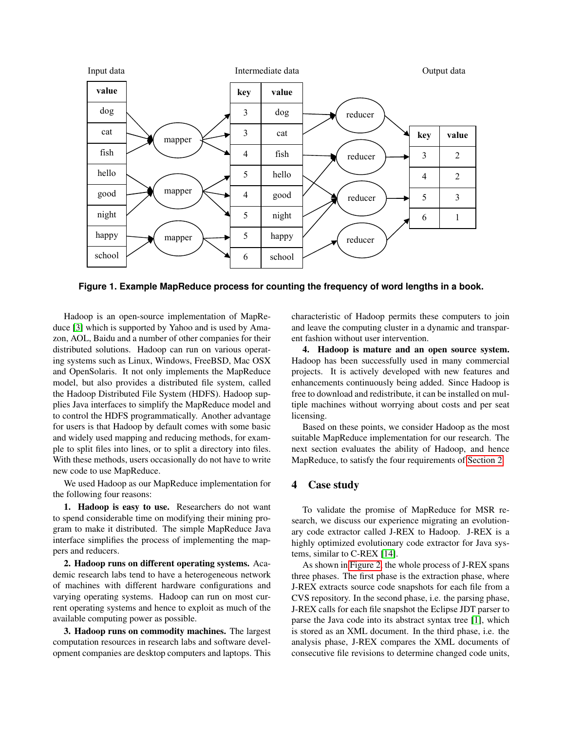

<span id="page-2-1"></span>Figure 1. Example MapReduce process for counting the frequency of word lengths in a book.

Hadoop is an open-source implementation of MapRe-duce [\[3\]](#page-9-8) which is supported by Yahoo and is used by Amazon, AOL, Baidu and a number of other companies for their distributed solutions. Hadoop can run on various operating systems such as Linux, Windows, FreeBSD, Mac OSX and OpenSolaris. It not only implements the MapReduce model, but also provides a distributed file system, called the Hadoop Distributed File System (HDFS). Hadoop supplies Java interfaces to simplify the MapReduce model and to control the HDFS programmatically. Another advantage for users is that Hadoop by default comes with some basic and widely used mapping and reducing methods, for examand has been mapping and reducing members, for shall to the spirituality of the spiritual directory into the With these methods, users occasionally do not have to write<br>naw each to use ManPeduce.  $\mathbf{w}$  the amazon computed computed computed computed computed computed computed computed computed computed computed computed computed computed computed computed computed computed computed computed computed computed com new code to use MapReduce.

We used Hadoop as our MapReduce implementation for the following four reasons:

1. Hadoop is easy to use. Researchers do not want to spend considerable time on modifying their mining program to make it distributed. The simple MapReduce Java interface simplifies the process of implementing the mappers and reducers.

2. Hadoop runs on different operating systems. Academic research labs tend to have a heterogeneous network of machines with different hardware configurations and rent operating systems and hence to exploit as much of the The rest of the rest of the rest of the matter of the rest of the state of the state of the state of the state of the state of the state of the state of the state of the state of the state of the state of the state of the varying operating systems. Hadoop can run on most cur-

 $\mathbf{S}$ . It is the second as  $\mathbf{S}$  is general framework from  $\mathbf{F}$  the  $\mathbf{S}$ 3. Hadoop runs on commodity machines. The largest computation resources in research labs and software development companies are desktop computers and laptops. This characteristic of Hadoop permits these computers to join and leave the computing cluster in a dynamic and transparent fashion without user intervention.

4. Hadoop is mature and an open source system. Hadoop has been successfully used in many commercial projects. It is actively developed with new features and free to download and redistribute, it can be installed on multiple machines without worrying about costs and per seat enhancements continuously being added. Since Hadoop is licensing.

Based on these points, we consider Hadoop as the most suitable MapReduce implementation for our research. The MapReduce, to satisfy the four requirements of [Section 2.](#page-1-0) next section evaluates the ability of Hadoop, and hence

### <span id="page-2-0"></span>4 Case study  $\ddot{\phantom{a}}$

 $T_{\text{e}}$  <u>relidete</u> the numies of Mendeduce for MCD To validate the promise of MapReduce for MSR rescalen, we discuss our experience inigrating an evolut ary code extractor called J-REX to Hadoop. J-REX is a highly optimized evolutionary code extractor for Java sys-tems, similar to C-REX [\[14\]](#page-9-9). search, we discuss our experience migrating an evolution-

As shown in [Figure 2,](#page-3-0) the whole process of J-REX spans **3. MapReduce**  J-REX extracts source code snapshots for each file from a  $\sigma$  KEX cans for each the shapshot the Eenpse  $\sigma$ D<sub>T</sub> parser to parse the Java code into its abstract syntax tree [\[1\]](#page-9-10), which parse the *sava* code lino its abstract symax tice [1], which is stored as an XML document. In the third phase, i.e. the analysis phase, J-REX compares the XML documents of three phases. The first phase is the extraction phase, where CVS repository. In the second phase, i.e. the parsing phase, J-REX calls for each file snapshot the Eclipse JDT parser to consecutive file revisions to determine changed code units,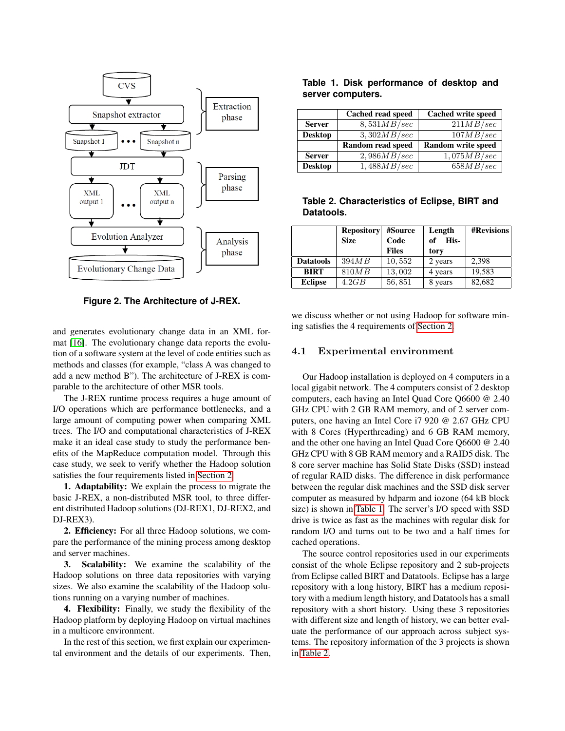

<span id="page-3-0"></span>**Figure 2. The Architecture of J-REX.**

and generates evolutionary change data in an XML format [\[16\]](#page-9-11). The evolutionary change data reports the evolution of a software system at the level of code entities such as methods and classes (for example, "class A was changed to add a new method B"). The architecture of J-REX is comparable to the architecture of other MSR tools.

The J-REX runtime process requires a huge amount of I/O operations which are performance bottlenecks, and a large amount of computing power when comparing XML trees. The I/O and computational characteristics of J-REX make it an ideal case study to study the performance benefits of the MapReduce computation model. Through this case study, we seek to verify whether the Hadoop solution satisfies the four requirements listed in [Section 2.](#page-1-0)

1. Adaptability: We explain the process to migrate the basic J-REX, a non-distributed MSR tool, to three different distributed Hadoop solutions (DJ-REX1, DJ-REX2, and DJ-REX3).

2. Efficiency: For all three Hadoop solutions, we compare the performance of the mining process among desktop and server machines.

3. Scalability: We examine the scalability of the Hadoop solutions on three data repositories with varying sizes. We also examine the scalability of the Hadoop solutions running on a varying number of machines.

4. Flexibility: Finally, we study the flexibility of the Hadoop platform by deploying Hadoop on virtual machines in a multicore environment.

In the rest of this section, we first explain our experimental environment and the details of our experiments. Then,

<span id="page-3-1"></span>

|                   |  | Table 1. Disk performance of desktop and |  |  |
|-------------------|--|------------------------------------------|--|--|
| server computers. |  |                                          |  |  |

|                | Cached read speed | <b>Cached write speed</b> |
|----------------|-------------------|---------------------------|
| <b>Server</b>  | 8,531MB/sec       | 211MB/sec                 |
| <b>Desktop</b> | 3,302MB/sec       | 107MB/sec                 |
|                | Random read speed | <b>Random write speed</b> |
| <b>Server</b>  | 2,986MB/sec       | 1,075MB/sec               |
| <b>Desktop</b> | 1,488MB/sec       | 658MB/sec                 |

<span id="page-3-2"></span>**Table 2. Characteristics of Eclipse, BIRT and Datatools.**

|                  | <b>Repository</b><br><b>Size</b> | #Source<br>Code<br><b>Files</b> | Length<br>His-<br>of<br>tory | <b>#Revisions</b> |
|------------------|----------------------------------|---------------------------------|------------------------------|-------------------|
| <b>Datatools</b> | 394MB                            | 10,552                          | 2 years                      | 2,398             |
| <b>BIRT</b>      | 810 <i>MB</i>                    | 13,002                          | 4 years                      | 19,583            |
| <b>Eclipse</b>   | 4.2GB                            | 56,851                          | 8 years                      | 82,682            |

we discuss whether or not using Hadoop for software mining satisfies the 4 requirements of [Section 2.](#page-1-0)

#### 4.1 Experimental environment

Our Hadoop installation is deployed on 4 computers in a local gigabit network. The 4 computers consist of 2 desktop computers, each having an Intel Quad Core Q6600 @ 2.40 GHz CPU with 2 GB RAM memory, and of 2 server computers, one having an Intel Core i7 920 @ 2.67 GHz CPU with 8 Cores (Hyperthreading) and 6 GB RAM memory, and the other one having an Intel Quad Core Q6600 @ 2.40 GHz CPU with 8 GB RAM memory and a RAID5 disk. The 8 core server machine has Solid State Disks (SSD) instead of regular RAID disks. The difference in disk performance between the regular disk machines and the SSD disk server computer as measured by hdparm and iozone (64 kB block size) is shown in [Table 1.](#page-3-1) The server's I/O speed with SSD drive is twice as fast as the machines with regular disk for random I/O and turns out to be two and a half times for cached operations.

The source control repositories used in our experiments consist of the whole Eclipse repository and 2 sub-projects from Eclipse called BIRT and Datatools. Eclipse has a large repository with a long history, BIRT has a medium repository with a medium length history, and Datatools has a small repository with a short history. Using these 3 repositories with different size and length of history, we can better evaluate the performance of our approach across subject systems. The repository information of the 3 projects is shown in [Table 2.](#page-3-2)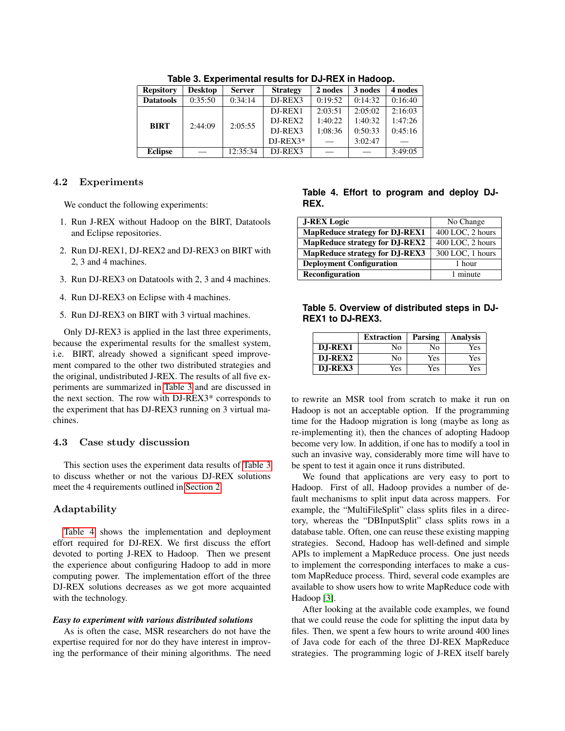| 1996 0. EXPONSIBIOIRE I COURCI IOI DU TREA IN HUGOOD. |                |               |                 |         |         |         |
|-------------------------------------------------------|----------------|---------------|-----------------|---------|---------|---------|
| <b>Repsitory</b>                                      | <b>Desktop</b> | <b>Server</b> | <b>Strategy</b> | 2 nodes | 3 nodes | 4 nodes |
| <b>Datatools</b>                                      | 0:35:50        | 0:34:14       | DJ-REX3         | 0:19:52 | 0:14:32 | 0:16:40 |
| <b>BIRT</b>                                           | 2:44:09        | 2:05:55       | $DI-REX1$       | 2:03:51 | 2:05:02 | 2:16:03 |
|                                                       |                |               | $DI-REX2$       | 1:40:22 | 1:40:32 | 1:47:26 |
|                                                       |                |               | DJ-REX3         | 1:08:36 | 0:50:33 | 0:45:16 |
|                                                       |                |               | $DI-REX3*$      |         | 3:02:47 |         |
| <b>Eclipse</b>                                        |                | 12:35:34      | DJ-REX3         |         |         | 3:49:05 |

<span id="page-4-0"></span>Table 3. Experimental results for DJ-REX in Hadoon

### 4.2 Experiments

We conduct the following experiments:

- 1. Run J-REX without Hadoop on the BIRT, Datatools and Eclipse repositories.
- 2. Run DJ-REX1, DJ-REX2 and DJ-REX3 on BIRT with 2, 3 and 4 machines.
- 3. Run DJ-REX3 on Datatools with 2, 3 and 4 machines.
- 4. Run DJ-REX3 on Eclipse with 4 machines.
- 5. Run DJ-REX3 on BIRT with 3 virtual machines.

Only DJ-REX3 is applied in the last three experiments, because the experimental results for the smallest system, i.e. BIRT, already showed a significant speed improvement compared to the other two distributed strategies and the original, undistributed J-REX. The results of all five experiments are summarized in [Table 3](#page-4-0) and are discussed in the next section. The row with DJ-REX3\* corresponds to the experiment that has DJ-REX3 running on 3 virtual machines.

### 4.3 Case study discussion

This section uses the experiment data results of [Table 3](#page-4-0) to discuss whether or not the various DJ-REX solutions meet the 4 requirements outlined in [Section 2.](#page-1-0)

### Adaptability

[Table 4](#page-4-1) shows the implementation and deployment effort required for DJ-REX. We first discuss the effort devoted to porting J-REX to Hadoop. Then we present the experience about configuring Hadoop to add in more computing power. The implementation effort of the three DJ-REX solutions decreases as we got more acquainted with the technology.

### *Easy to experiment with various distributed solutions*

As is often the case, MSR researchers do not have the expertise required for nor do they have interest in improving the performance of their mining algorithms. The need

# <span id="page-4-1"></span>**Table 4. Effort to program and deploy DJ-REX.**

| <b>J-REX Logic</b>                    | No Change                     |
|---------------------------------------|-------------------------------|
| <b>MapReduce strategy for DJ-REX1</b> | 400 LOC, 2 hours              |
| <b>MapReduce strategy for DJ-REX2</b> | 400 LOC, 2 hours              |
| <b>MapReduce strategy for DJ-REX3</b> | $\overline{300}$ LOC, 1 hours |
| <b>Deployment Configuration</b>       | 1 hour                        |
| Reconfiguration                       | 1 minute                      |

# <span id="page-4-2"></span>**Table 5. Overview of distributed steps in DJ-REX1 to DJ-REX3.**

|                 | <b>Extraction</b> | Parsing | Analysis |
|-----------------|-------------------|---------|----------|
| <b>D.I-REX1</b> | No                | No      | Yes      |
| D.I-REX2        | No                | Yes     | Yes      |
| D.I-REX3        | Yes               | Yes     | Yes      |

to rewrite an MSR tool from scratch to make it run on Hadoop is not an acceptable option. If the programming time for the Hadoop migration is long (maybe as long as re-implementing it), then the chances of adopting Hadoop become very low. In addition, if one has to modify a tool in such an invasive way, considerably more time will have to be spent to test it again once it runs distributed.

We found that applications are very easy to port to Hadoop. First of all, Hadoop provides a number of default mechanisms to split input data across mappers. For example, the "MultiFileSplit" class splits files in a directory, whereas the "DBInputSplit" class splits rows in a database table. Often, one can reuse these existing mapping strategies. Second, Hadoop has well-defined and simple APIs to implement a MapReduce process. One just needs to implement the corresponding interfaces to make a custom MapReduce process. Third, several code examples are available to show users how to write MapReduce code with Hadoop [\[3\]](#page-9-8).

After looking at the available code examples, we found that we could reuse the code for splitting the input data by files. Then, we spent a few hours to write around 400 lines of Java code for each of the three DJ-REX MapReduce strategies. The programming logic of J-REX itself barely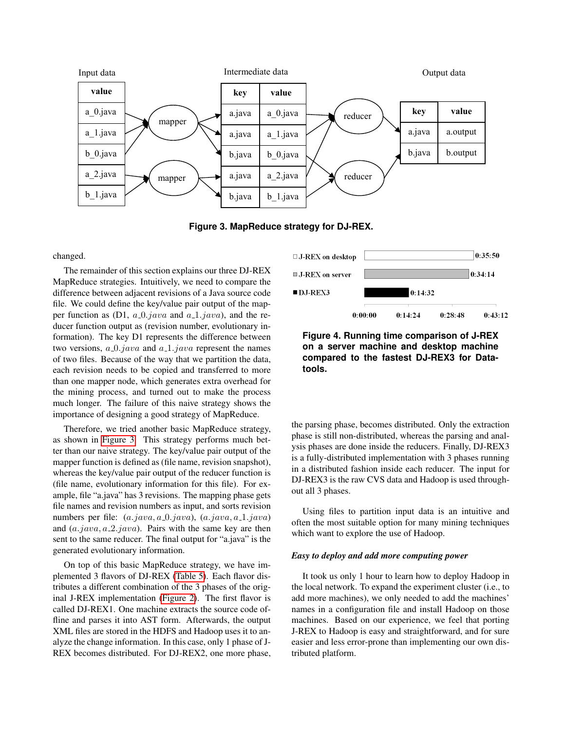

Hadoop [14]. One of the code examples is to search a contains 3 phases: extraction phases: extraction phase, parsing phase, parsing phase, parsing phase, parsing phase and phase and phases. The contains of the contact of the contact of the contact of the contact of the conta Figure 3: MapReduce strategy for DJ-REX **Figure 3. MapReduce strategy for DJ-REX.**

### changed. Another example is to count word frequency word frequency  $\alpha$  is to count word frequency word frequency  $\alpha$

The remainder of this section explains our three DJ-REX In communed of this section expression of the 20 characters. Impredate strategies. Intuitivery, we need to compare the difference between adjacent revisions of a Java source code interence between adjacent revisions of a sava source code file. We could define the key/value pair output of the map- $\mathbb{R}^n$  we come define the Keyl value pair output of the map per function as  $(D1, a_0)$  *java* and  $a_1$  *java*), and the reducer function output as (revision number, evolutionary information). The key D1 represents the difference between two versions,  $a_0$ . java and  $a_1$ . java represent the names of two files. Because of the way that we partition the data, each revision needs to be copied and transferred to more than one mapper node, which generates extra overhead for the mining process, and turned out to make the process much longer. The failure of this naive strategy shows the importance of designing a good strategy of MapReduce.

Therefore, we tried another basic MapReduce strategy, as shown in [Figure 3.](#page-5-0) This strategy performs much better than our naive strategy. The key/value pair output of the er than our harve strategy. The hey, takes part stape of the mapper function is defined as (file name, revision snapshot), the importance of the importance of designing a good intervals whereas the key/value pair output of the reducer function is whereas the key/value pair output of the reducer random is<br>(file name, evolutionary information for this file). For ex- $T_{\text{max}}$ , we tried and  $T_{\text{max}}$  means of the mapping phase set ample, file "a.java" has 3 revisions. The mapping phase gets  $\frac{1}{2}$  contains and tevision numbers as input, and solis revision numbers per file:  $(a.java, a 0.java), (a.java, a 1.java)$ and  $(a.java, a.2.java)$ . Pairs with the same key are then sent to the same reducer. The final output for "a.java" is the generated evolutionary information. file names and revision numbers as input, and sorts revision

On top of this basic MapReduce strategy, we have im-plemented 3 flavors of DJ-REX [\(Table 5\)](#page-4-2). Each flavor distributes a different combination of the 3 phases of the orig-inal J-REX implementation [\(Figure 2\)](#page-3-0). The first flavor is called DJ-REX1. One machine extracts the source code offline and parses it into AST form. Afterwards, the output XML files are stored in the HDFS and Hadoop uses it to analyze the change information. In this case, only 1 phase of J-REX becomes distributed. For DJ-REX2, one more phase,

<span id="page-5-0"></span>

<span id="page-5-1"></span>**Figure 4. Running time comparison of J-REX inguited information of the files in all source in a server machine and desktop machine** the service reports of the reports of the reports of the reports of the reports of the reports of the reports <br>The reports of the reports of the reports of the reports of the reports of the reports of the reports of the r compared to the fastest DJ-REX3 for Data- $\mathbf{1}_{\mathbf{1}_{\mathbf{1}}\cap\mathbf{1}_{\mathbf{2}}\cap\mathbf{1}_{\mathbf{3}}}$ **tools.**

the parsing phase, becomes distributed. Only the extraction phase is still non-distributed, whereas the parsing and analysis phases are done inside the reducers. Finally, DJ-REX3 is a fully-distributed implementation with 3 phases running in a distributed fashion inside each reducer. The input for DJ-REX3 is the raw CVS data and Hadoop is used throughout all 3 phases.

Using files to partition input data is an intuitive and which want to explore the use of Hadoop. often the most suitable option for many mining techniques

# **Extract Parse Analyze** *Easy to deploy and add more computing power*

It took us only 1 hour to learn how to deploy Hadoop in the local network. To expand the experiment cluster (i.e., to names in a configuration file and install Hadoop on those machines. Based on our experience, we feel that porting J-REX to Hadoop is easy and straightforward, and for sure easier and less error-prone than implementing our own disadd more machines), we only needed to add the machines' tributed platform.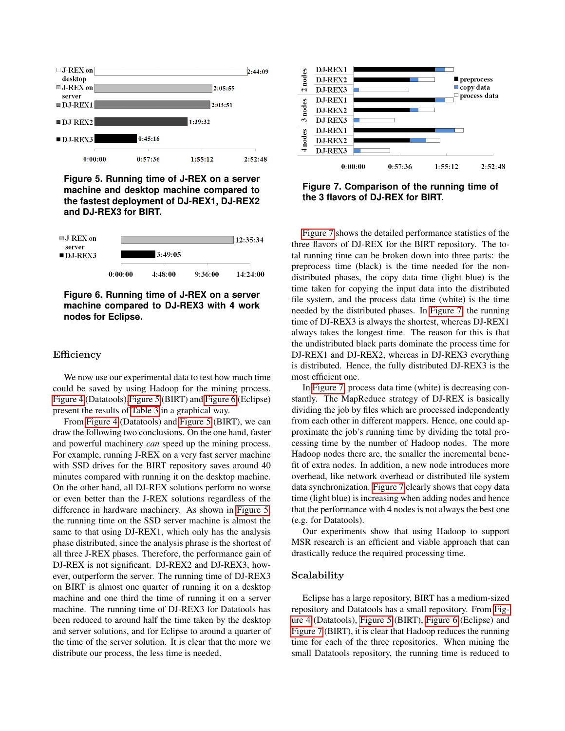

<span id="page-6-0"></span>**Figure 5. Running time of J-REX on a server machine and desktop machine compared to the fastest deployment of DJ-REX1, DJ-REX2 and DJ-REX3 for BIRT.**



<span id="page-6-1"></span>**Figure 6. Running time of J-REX on a server machine compared to DJ-REX3 with 4 work nodes for Eclipse.**

### Efficiency

We now use our experimental data to test how much time could be saved by using Hadoop for the mining process. [Figure 4](#page-5-1) (Datatools)[,Figure 5](#page-6-0) (BIRT) and [Figure 6](#page-6-1) (Eclipse) present the results of [Table 3](#page-4-0) in a graphical way.

From [Figure 4](#page-5-1) (Datatools) and [Figure 5](#page-6-0) (BIRT), we can draw the following two conclusions. On the one hand, faster and powerful machinery *can* speed up the mining process. For example, running J-REX on a very fast server machine with SSD drives for the BIRT repository saves around 40 minutes compared with running it on the desktop machine. On the other hand, all DJ-REX solutions perform no worse or even better than the J-REX solutions regardless of the difference in hardware machinery. As shown in [Figure 5,](#page-6-0) the running time on the SSD server machine is almost the same to that using DJ-REX1, which only has the analysis phase distributed, since the analysis phrase is the shortest of all three J-REX phases. Therefore, the performance gain of DJ-REX is not significant. DJ-REX2 and DJ-REX3, however, outperform the server. The running time of DJ-REX3 on BIRT is almost one quarter of running it on a desktop machine and one third the time of running it on a server machine. The running time of DJ-REX3 for Datatools has been reduced to around half the time taken by the desktop and server solutions, and for Eclipse to around a quarter of the time of the server solution. It is clear that the more we distribute our process, the less time is needed.



<span id="page-6-2"></span>**Figure 7. Comparison of the running time of the 3 flavors of DJ-REX for BIRT.**

[Figure 7](#page-6-2) shows the detailed performance statistics of the three flavors of DJ-REX for the BIRT repository. The total running time can be broken down into three parts: the preprocess time (black) is the time needed for the nondistributed phases, the copy data time (light blue) is the time taken for copying the input data into the distributed file system, and the process data time (white) is the time needed by the distributed phases. In [Figure 7,](#page-6-2) the running time of DJ-REX3 is always the shortest, whereas DJ-REX1 always takes the longest time. The reason for this is that the undistributed black parts dominate the process time for DJ-REX1 and DJ-REX2, whereas in DJ-REX3 everything is distributed. Hence, the fully distributed DJ-REX3 is the most efficient one.

In [Figure 7,](#page-6-2) process data time (white) is decreasing constantly. The MapReduce strategy of DJ-REX is basically dividing the job by files which are processed independently from each other in different mappers. Hence, one could approximate the job's running time by dividing the total processing time by the number of Hadoop nodes. The more Hadoop nodes there are, the smaller the incremental benefit of extra nodes. In addition, a new node introduces more overhead, like network overhead or distributed file system data synchronization. [Figure 7](#page-6-2) clearly shows that copy data time (light blue) is increasing when adding nodes and hence that the performance with 4 nodes is not always the best one (e.g. for Datatools).

Our experiments show that using Hadoop to support MSR research is an efficient and viable approach that can drastically reduce the required processing time.

### Scalability

Eclipse has a large repository, BIRT has a medium-sized repository and Datatools has a small repository. From [Fig](#page-5-1)[ure 4](#page-5-1) (Datatools), [Figure 5](#page-6-0) (BIRT), [Figure 6](#page-6-1) (Eclipse) and [Figure 7](#page-6-2) (BIRT), it is clear that Hadoop reduces the running time for each of the three repositories. When mining the small Datatools repository, the running time is reduced to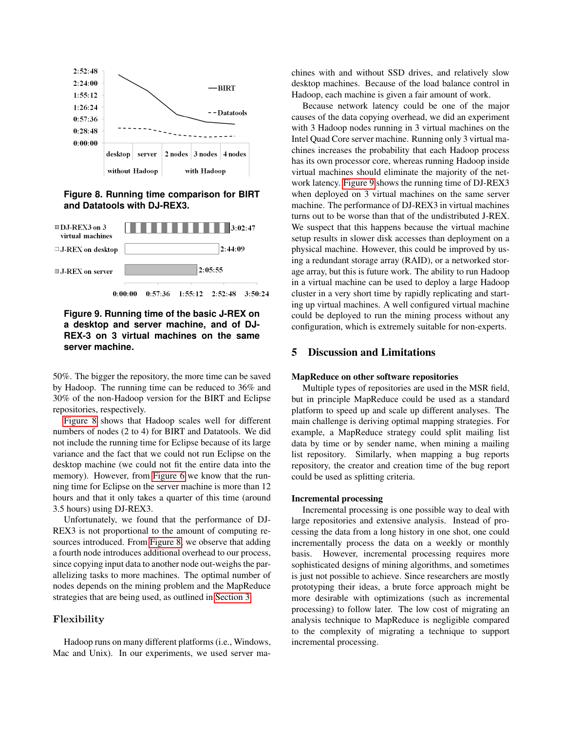

<span id="page-7-1"></span>**Figure 8. Running time comparison for BIRT and Datatools with DJ-REX3.**



# <span id="page-7-2"></span>**Figure 9. Running time of the basic J-REX on a desktop and server machine, and of DJ-REX-3 on 3 virtual machines on the same server machine.**

50%. The bigger the repository, the more time can be saved by Hadoop. The running time can be reduced to 36% and 30% of the non-Hadoop version for the BIRT and Eclipse repositories, respectively.

[Figure 8](#page-7-1) shows that Hadoop scales well for different numbers of nodes (2 to 4) for BIRT and Datatools. We did not include the running time for Eclipse because of its large variance and the fact that we could not run Eclipse on the desktop machine (we could not fit the entire data into the memory). However, from [Figure 6](#page-6-1) we know that the running time for Eclipse on the server machine is more than 12 hours and that it only takes a quarter of this time (around 3.5 hours) using DJ-REX3.

Unfortunately, we found that the performance of DJ-REX3 is not proportional to the amount of computing resources introduced. From [Figure 8,](#page-7-1) we observe that adding a fourth node introduces additional overhead to our process, since copying input data to another node out-weighs the parallelizing tasks to more machines. The optimal number of nodes depends on the mining problem and the MapReduce strategies that are being used, as outlined in [Section 3.](#page-1-1)

# Flexibility

Hadoop runs on many different platforms (i.e., Windows, Mac and Unix). In our experiments, we used server machines with and without SSD drives, and relatively slow desktop machines. Because of the load balance control in Hadoop, each machine is given a fair amount of work.

Because network latency could be one of the major causes of the data copying overhead, we did an experiment with 3 Hadoop nodes running in 3 virtual machines on the Intel Quad Core server machine. Running only 3 virtual machines increases the probability that each Hadoop process has its own processor core, whereas running Hadoop inside virtual machines should eliminate the majority of the network latency. [Figure 9](#page-7-2) shows the running time of DJ-REX3 when deployed on 3 virtual machines on the same server machine. The performance of DJ-REX3 in virtual machines turns out to be worse than that of the undistributed J-REX. We suspect that this happens because the virtual machine setup results in slower disk accesses than deployment on a physical machine. However, this could be improved by using a redundant storage array (RAID), or a networked storage array, but this is future work. The ability to run Hadoop in a virtual machine can be used to deploy a large Hadoop cluster in a very short time by rapidly replicating and starting up virtual machines. A well configured virtual machine could be deployed to run the mining process without any configuration, which is extremely suitable for non-experts.

# <span id="page-7-0"></span>5 Discussion and Limitations

#### MapReduce on other software repositories

Multiple types of repositories are used in the MSR field, but in principle MapReduce could be used as a standard platform to speed up and scale up different analyses. The main challenge is deriving optimal mapping strategies. For example, a MapReduce strategy could split mailing list data by time or by sender name, when mining a mailing list repository. Similarly, when mapping a bug reports repository, the creator and creation time of the bug report could be used as splitting criteria.

#### Incremental processing

Incremental processing is one possible way to deal with large repositories and extensive analysis. Instead of processing the data from a long history in one shot, one could incrementally process the data on a weekly or monthly basis. However, incremental processing requires more sophisticated designs of mining algorithms, and sometimes is just not possible to achieve. Since researchers are mostly prototyping their ideas, a brute force approach might be more desirable with optimizations (such as incremental processing) to follow later. The low cost of migrating an analysis technique to MapReduce is negligible compared to the complexity of migrating a technique to support incremental processing.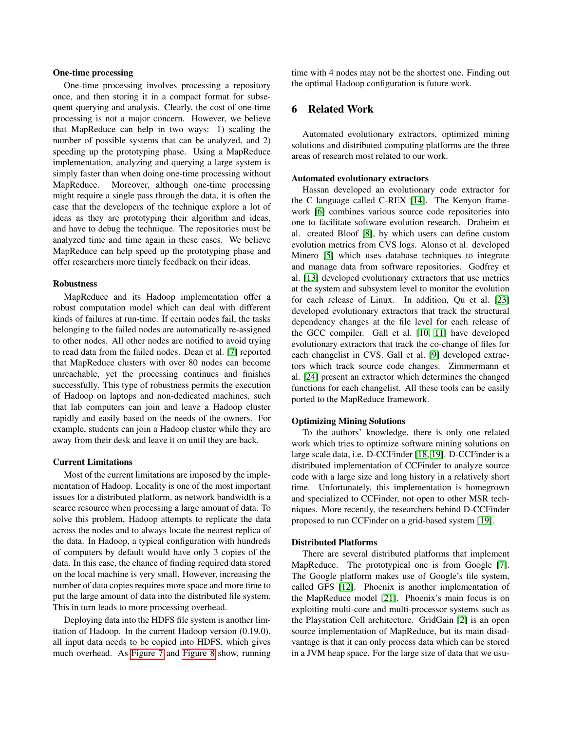#### One-time processing

One-time processing involves processing a repository once, and then storing it in a compact format for subsequent querying and analysis. Clearly, the cost of one-time processing is not a major concern. However, we believe that MapReduce can help in two ways: 1) scaling the number of possible systems that can be analyzed, and 2) speeding up the prototyping phase. Using a MapReduce implementation, analyzing and querying a large system is simply faster than when doing one-time processing without MapReduce. Moreover, although one-time processing might require a single pass through the data, it is often the case that the developers of the technique explore a lot of ideas as they are prototyping their algorithm and ideas, and have to debug the technique. The repositories must be analyzed time and time again in these cases. We believe MapReduce can help speed up the prototyping phase and offer researchers more timely feedback on their ideas.

#### Robustness

MapReduce and its Hadoop implementation offer a robust computation model which can deal with different kinds of failures at run-time. If certain nodes fail, the tasks belonging to the failed nodes are automatically re-assigned to other nodes. All other nodes are notified to avoid trying to read data from the failed nodes. Dean et al. [\[7\]](#page-9-6) reported that MapReduce clusters with over 80 nodes can become unreachable, yet the processing continues and finishes successfully. This type of robustness permits the execution of Hadoop on laptops and non-dedicated machines, such that lab computers can join and leave a Hadoop cluster rapidly and easily based on the needs of the owners. For example, students can join a Hadoop cluster while they are away from their desk and leave it on until they are back.

#### Current Limitations

Most of the current limitations are imposed by the implementation of Hadoop. Locality is one of the most important issues for a distributed platform, as network bandwidth is a scarce resource when processing a large amount of data. To solve this problem, Hadoop attempts to replicate the data across the nodes and to always locate the nearest replica of the data. In Hadoop, a typical configuration with hundreds of computers by default would have only 3 copies of the data. In this case, the chance of finding required data stored on the local machine is very small. However, increasing the number of data copies requires more space and more time to put the large amount of data into the distributed file system. This in turn leads to more processing overhead.

Deploying data into the HDFS file system is another limitation of Hadoop. In the current Hadoop version (0.19.0), all input data needs to be copied into HDFS, which gives much overhead. As [Figure 7](#page-6-2) and [Figure 8](#page-7-1) show, running time with 4 nodes may not be the shortest one. Finding out the optimal Hadoop configuration is future work.

## <span id="page-8-0"></span>6 Related Work

Automated evolutionary extractors, optimized mining solutions and distributed computing platforms are the three areas of research most related to our work.

#### Automated evolutionary extractors

Hassan developed an evolutionary code extractor for the C language called C-REX [\[14\]](#page-9-9). The Kenyon framework [\[6\]](#page-9-12) combines various source code repositories into one to facilitate software evolution research. Draheim et al. created Bloof [\[8\]](#page-9-13), by which users can define custom evolution metrics from CVS logs. Alonso et al. developed Minero [\[5\]](#page-9-14) which uses database techniques to integrate and manage data from software repositories. Godfrey et al. [\[13\]](#page-9-1) developed evolutionary extractors that use metrics at the system and subsystem level to monitor the evolution for each release of Linux. In addition, Qu et al. [\[23\]](#page-9-15) developed evolutionary extractors that track the structural dependency changes at the file level for each release of the GCC compiler. Gall et al. [\[10,](#page-9-16) [11\]](#page-9-17) have developed evolutionary extractors that track the co-change of files for each changelist in CVS. Gall et al. [\[9\]](#page-9-18) developed extractors which track source code changes. Zimmermann et al. [\[24\]](#page-9-19) present an extractor which determines the changed functions for each changelist. All these tools can be easily ported to the MapReduce framework.

#### Optimizing Mining Solutions

To the authors' knowledge, there is only one related work which tries to optimize software mining solutions on large scale data, i.e. D-CCFinder [\[18,](#page-9-3) [19\]](#page-9-20). D-CCFinder is a distributed implementation of CCFinder to analyze source code with a large size and long history in a relatively short time. Unfortunately, this implementation is homegrown and specialized to CCFinder, not open to other MSR techniques. More recently, the researchers behind D-CCFinder proposed to run CCFinder on a grid-based system [\[19\]](#page-9-20).

#### Distributed Platforms

There are several distributed platforms that implement MapReduce. The prototypical one is from Google [\[7\]](#page-9-6). The Google platform makes use of Google's file system, called GFS [\[12\]](#page-9-21). Phoenix is another implementation of the MapReduce model [\[21\]](#page-9-22). Phoenix's main focus is on exploiting multi-core and multi-processor systems such as the Playstation Cell architecture. GridGain [\[2\]](#page-9-23) is an open source implementation of MapReduce, but its main disadvantage is that it can only process data which can be stored in a JVM heap space. For the large size of data that we usu